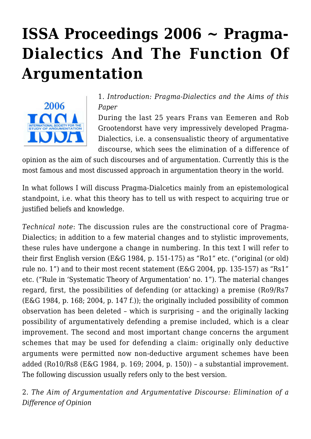# **[ISSA Proceedings 2006 ~ Pragma-](https://rozenbergquarterly.com/issa-proceedings-2006-pragma-dialectics-and-the-function-of-argumentation/)[Dialectics And The Function Of](https://rozenbergquarterly.com/issa-proceedings-2006-pragma-dialectics-and-the-function-of-argumentation/) [Argumentation](https://rozenbergquarterly.com/issa-proceedings-2006-pragma-dialectics-and-the-function-of-argumentation/)**



1. *Introduction: Pragma-Dialectics and the Aims of this Paper*

During the last 25 years Frans van Eemeren and Rob Grootendorst have very impressively developed Pragma-Dialectics, i.e. a consensualistic theory of argumentative discourse, which sees the elimination of a difference of

opinion as the aim of such discourses and of argumentation. Currently this is the most famous and most discussed approach in argumentation theory in the world.

In what follows I will discuss Pragma-Dialcetics mainly from an epistemological standpoint, i.e. what this theory has to tell us with respect to acquiring true or justified beliefs and knowledge.

*Technical note*: The discussion rules are the constructional core of Pragma-Dialectics; in addition to a few material changes and to stylistic improvements, these rules have undergone a change in numbering. In this text I will refer to their first English version (E&G 1984, p. 151-175) as "Ro1" etc. ("original (or old) rule no. 1") and to their most recent statement (E&G 2004, pp. 135-157) as "Rs1" etc. ("Rule in 'Systematic Theory of Argumentation' no. 1"). The material changes regard, first, the possibilities of defending (or attacking) a premise (Ro9/Rs7 (E&G 1984, p. 168; 2004, p. 147 f.)); the originally included possibility of common observation has been deleted – which is surprising – and the originally lacking possibility of argumentatively defending a premise included, which is a clear improvement. The second and most important change concerns the argument schemes that may be used for defending a claim: originally only deductive arguments were permitted now non-deductive argument schemes have been added (Ro10/Rs8 (E&G 1984, p. 169; 2004, p. 150)) – a substantial improvement. The following discussion usually refers only to the best version.

2. *The Aim of Argumentation and Argumentative Discourse: Elimination of a Difference of Opinion*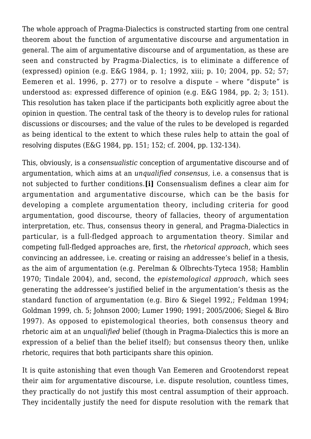The whole approach of Pragma-Dialectics is constructed starting from one central theorem about the function of argumentative discourse and argumentation in general. The aim of argumentative discourse and of argumentation, as these are seen and constructed by Pragma-Dialectics, is to eliminate a difference of (expressed) opinion (e.g. E&G 1984, p. 1; 1992, xiii; p. 10; 2004, pp. 52; 57; Eemeren et al. 1996, p. 277) or to resolve a dispute – where "dispute" is understood as: expressed difference of opinion (e.g. E&G 1984, pp. 2; 3; 151). This resolution has taken place if the participants both explicitly agree about the opinion in question. The central task of the theory is to develop rules for rational discussions or discourses; and the value of the rules to be developed is regarded as being identical to the extent to which these rules help to attain the goal of resolving disputes (E&G 1984, pp. 151; 152; cf. 2004, pp. 132-134).

This, obviously, is a *consensualistic* conception of argumentative discourse and of argumentation, which aims at an *unqualified consensus,* i.e. a consensus that is not subjected to further conditions.**[i]** Consensualism defines a clear aim for argumentation and argumentative discourse, which can be the basis for developing a complete argumentation theory, including criteria for good argumentation, good discourse, theory of fallacies, theory of argumentation interpretation, etc. Thus, consensus theory in general, and Pragma-Dialectics in particular, is a full-fledged approach to argumentation theory. Similar and competing full-fledged approaches are, first, the *rhetorical approach*, which sees convincing an addressee, i.e. creating or raising an addressee's belief in a thesis, as the aim of argumentation (e.g. Perelman & Olbrechts-Tyteca 1958; Hamblin 1970; Tindale 2004), and, second, the *epistemological approach*, which sees generating the addressee's justified belief in the argumentation's thesis as the standard function of argumentation (e.g. Biro & Siegel 1992,; Feldman 1994; Goldman 1999, ch. 5; Johnson 2000; Lumer 1990; 1991; 2005/2006; Siegel & Biro 1997). As opposed to epistemological theories, both consensus theory and rhetoric aim at an *unqualified* belief (though in Pragma-Dialectics this is more an expression of a belief than the belief itself); but consensus theory then, unlike rhetoric, requires that both participants share this opinion.

It is quite astonishing that even though Van Eemeren and Grootendorst repeat their aim for argumentative discourse, i.e. dispute resolution, countless times, they practically do not justify this most central assumption of their approach. They incidentally justify the need for dispute resolution with the remark that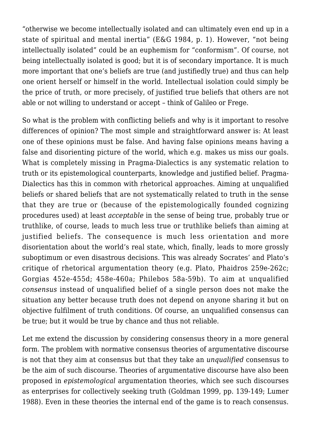"otherwise we become intellectually isolated and can ultimately even end up in a state of spiritual and mental inertia" (E&G 1984, p. 1). However, "not being intellectually isolated" could be an euphemism for "conformism". Of course, not being intellectually isolated is good; but it is of secondary importance. It is much more important that one's beliefs are true (and justifiedly true) and thus can help one orient herself or himself in the world. Intellectual isolation could simply be the price of truth, or more precisely, of justified true beliefs that others are not able or not willing to understand or accept – think of Galileo or Frege.

So what is the problem with conflicting beliefs and why is it important to resolve differences of opinion? The most simple and straightforward answer is: At least one of these opinions must be false. And having false opinions means having a false and disorienting picture of the world, which e.g. makes us miss our goals. What is completely missing in Pragma-Dialectics is any systematic relation to truth or its epistemological counterparts, knowledge and justified belief. Pragma-Dialectics has this in common with rhetorical approaches. Aiming at unqualified beliefs or shared beliefs that are not systematically related to truth in the sense that they are true or (because of the epistemologically founded cognizing procedures used) at least *acceptable* in the sense of being true, probably true or truthlike, of course, leads to much less true or truthlike beliefs than aiming at justified beliefs. The consequence is much less orientation and more disorientation about the world's real state, which, finally, leads to more grossly suboptimum or even disastrous decisions. This was already Socrates' and Plato's critique of rhetorical argumentation theory (e.g. Plato, Phaidros 259e-262c; Gorgias 452e-455d; 458e-460a; Philebos 58a-59b). To aim at unqualified *consensus* instead of unqualified belief of a single person does not make the situation any better because truth does not depend on anyone sharing it but on objective fulfilment of truth conditions. Of course, an unqualified consensus can be true; but it would be true by chance and thus not reliable.

Let me extend the discussion by considering consensus theory in a more general form. The problem with normative consensus theories of argumentative discourse is not that they aim at consensus but that they take an *unqualified* consensus to be the aim of such discourse. Theories of argumentative discourse have also been proposed in *epistemological* argumentation theories, which see such discourses as enterprises for collectively seeking truth (Goldman 1999, pp. 139-149; Lumer 1988). Even in these theories the internal end of the game is to reach consensus.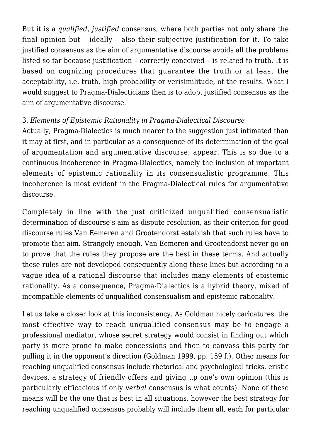But it is a *qualified, justified* consensus, where both parties not only share the final opinion but – ideally – also their subjective justification for it. To take justified consensus as the aim of argumentative discourse avoids all the problems listed so far because justification – correctly conceived – is related to truth. It is based on cognizing procedures that guarantee the truth or at least the acceptability, i.e. truth, high probability or verisimilitude, of the results. What I would suggest to Pragma-Dialecticians then is to adopt justified consensus as the aim of argumentative discourse.

## 3. *Elements of Epistemic Rationality in Pragma-Dialectical Discourse*

Actually, Pragma-Dialectics is much nearer to the suggestion just intimated than it may at first, and in particular as a consequence of its determination of the goal of argumentation and argumentative discourse, appear. This is so due to a continuous incoherence in Pragma-Dialectics, namely the inclusion of important elements of epistemic rationality in its consensualistic programme. This incoherence is most evident in the Pragma-Dialectical rules for argumentative discourse.

Completely in line with the just criticized unqualified consensualistic determination of discourse's aim as dispute resolution, as their criterion for good discourse rules Van Eemeren and Grootendorst establish that such rules have to promote that aim. Strangely enough, Van Eemeren and Grootendorst never go on to prove that the rules they propose are the best in these terms. And actually these rules are not developed consequently along these lines but according to a vague idea of a rational discourse that includes many elements of epistemic rationality. As a consequence, Pragma-Dialectics is a hybrid theory, mixed of incompatible elements of unqualified consensualism and epistemic rationality.

Let us take a closer look at this inconsistency. As Goldman nicely caricatures, the most effective way to reach unqualified consensus may be to engage a professional mediator, whose secret strategy would consist in finding out which party is more prone to make concessions and then to canvass this party for pulling it in the opponent's direction (Goldman 1999, pp. 159 f.). Other means for reaching unqualified consensus include rhetorical and psychological tricks, eristic devices, a strategy of friendly offers and giving up one's own opinion (this is particularly efficacious if only *verbal* consensus is what counts). None of these means will be the one that is best in all situations, however the best strategy for reaching unqualified consensus probably will include them all, each for particular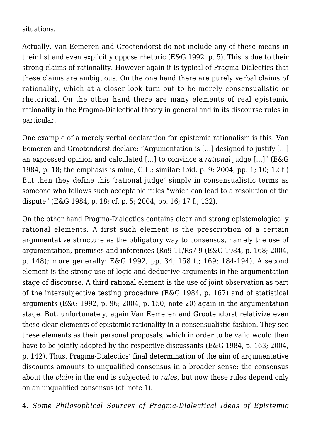situations.

Actually, Van Eemeren and Grootendorst do not include any of these means in their list and even explicitly oppose rhetoric (E&G 1992, p. 5). This is due to their strong claims of rationality. However again it is typical of Pragma-Dialectics that these claims are ambiguous. On the one hand there are purely verbal claims of rationality, which at a closer look turn out to be merely consensualistic or rhetorical. On the other hand there are many elements of real epistemic rationality in the Pragma-Dialectical theory in general and in its discourse rules in particular.

One example of a merely verbal declaration for epistemic rationalism is this. Van Eemeren and Grootendorst declare: "Argumentation is […] designed to justify […] an expressed opinion and calculated […] to convince a *rational* judge […]" (E&G 1984, p. 18; the emphasis is mine, C.L.; similar: ibid. p. 9; 2004, pp. 1; 10; 12 f.) But then they define this 'rational judge' simply in consensualistic terms as someone who follows such acceptable rules "which can lead to a resolution of the dispute" (E&G 1984, p. 18; cf. p. 5; 2004, pp. 16; 17 f.; 132).

On the other hand Pragma-Dialectics contains clear and strong epistemologically rational elements. A first such element is the prescription of a certain argumentative structure as the obligatory way to consensus, namely the use of argumentation, premises and inferences (Ro9-11/Rs7-9 (E&G 1984, p. 168; 2004, p. 148); more generally: E&G 1992, pp. 34; 158 f.; 169; 184-194). A second element is the strong use of logic and deductive arguments in the argumentation stage of discourse. A third rational element is the use of joint observation as part of the intersubjective testing procedure (E&G 1984, p. 167) and of statistical arguments (E&G 1992, p. 96; 2004, p. 150, note 20) again in the argumentation stage. But, unfortunately, again Van Eemeren and Grootendorst relativize even these clear elements of epistemic rationality in a consensualistic fashion. They see these elements as their personal proposals, which in order to be valid would then have to be jointly adopted by the respective discussants (E&G 1984, p. 163; 2004, p. 142). Thus, Pragma-Dialectics' final determination of the aim of argumentative discoures amounts to unqualified consensus in a broader sense: the consensus about the *claim* in the end is subjected to *rules,* but now these rules depend only on an unqualified consensus (cf. note 1).

4. *Some Philosophical Sources of Pragma-Dialectical Ideas of Epistemic*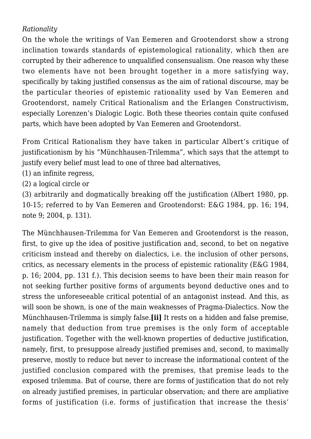## *Rationality*

On the whole the writings of Van Eemeren and Grootendorst show a strong inclination towards standards of epistemological rationality, which then are corrupted by their adherence to unqualified consensualism. One reason why these two elements have not been brought together in a more satisfying way, specifically by taking justified consensus as the aim of rational discourse, may be the particular theories of epistemic rationality used by Van Eemeren and Grootendorst, namely Critical Rationalism and the Erlangen Constructivism, especially Lorenzen's Dialogic Logic. Both these theories contain quite confused parts, which have been adopted by Van Eemeren and Grootendorst.

From Critical Rationalism they have taken in particular Albert's critique of justificationism by his "Münchhausen-Trilemma", which says that the attempt to justify every belief must lead to one of three bad alternatives.

- (1) an infinite regress,
- (2) a logical circle or

(3) arbitrarily and dogmatically breaking off the justification (Albert 1980, pp. 10-15; referred to by Van Eemeren and Grootendorst: E&G 1984, pp. 16; 194, note 9; 2004, p. 131).

The Münchhausen-Trilemma for Van Eemeren and Grootendorst is the reason, first, to give up the idea of positive justification and, second, to bet on negative criticism instead and thereby on dialectics, i.e. the inclusion of other persons, critics, as necessary elements in the process of epistemic rationality (E&G 1984, p. 16; 2004, pp. 131 f.). This decision seems to have been their main reason for not seeking further positive forms of arguments beyond deductive ones and to stress the unforeseeable critical potential of an antagonist instead. And this, as will soon be shown, is one of the main weaknesses of Pragma-Dialectics. Now the Münchhausen-Trilemma is simply false.**[ii]** It rests on a hidden and false premise, namely that deduction from true premises is the only form of acceptable justification. Together with the well-known properties of deductive justification, namely, first, to presuppose already justified premises and, second, to maximally preserve, mostly to reduce but never to increase the informational content of the justified conclusion compared with the premises, that premise leads to the exposed trilemma. But of course, there are forms of justification that do not rely on already justified premises, in particular observation; and there are ampliative forms of justification (i.e. forms of justification that increase the thesis'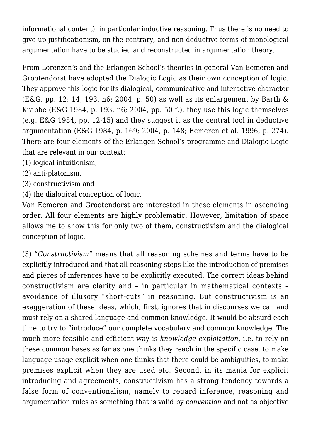informational content), in particular inductive reasoning. Thus there is no need to give up justificationism, on the contrary, and non-deductive forms of monological argumentation have to be studied and reconstructed in argumentation theory.

From Lorenzen's and the Erlangen School's theories in general Van Eemeren and Grootendorst have adopted the Dialogic Logic as their own conception of logic. They approve this logic for its dialogical, communicative and interactive character (E&G, pp. 12; 14; 193, n6; 2004, p. 50) as well as its enlargement by Barth  $\&$ Krabbe (E&G 1984, p. 193, n6; 2004, pp. 50 f.), they use this logic themselves (e.g. E&G 1984, pp. 12-15) and they suggest it as the central tool in deductive argumentation (E&G 1984, p. 169; 2004, p. 148; Eemeren et al. 1996, p. 274). There are four elements of the Erlangen School's programme and Dialogic Logic that are relevant in our context:

- (1) logical intuitionism,
- (2) anti-platonism,
- (3) constructivism and
- (4) the dialogical conception of logic.

Van Eemeren and Grootendorst are interested in these elements in ascending order. All four elements are highly problematic. However, limitation of space allows me to show this for only two of them, constructivism and the dialogical conception of logic.

(3) "*Constructivism*" means that all reasoning schemes and terms have to be explicitly introduced and that all reasoning steps like the introduction of premises and pieces of inferences have to be explicitly executed. The correct ideas behind constructivism are clarity and – in particular in mathematical contexts – avoidance of illusory "short-cuts" in reasoning. But constructivism is an exaggeration of these ideas, which, first, ignores that in discourses we can and must rely on a shared language and common knowledge. It would be absurd each time to try to "introduce" our complete vocabulary and common knowledge. The much more feasible and efficient way is *knowledge exploitation*, i.e. to rely on these common bases as far as one thinks they reach in the specific case, to make language usage explicit when one thinks that there could be ambiguities, to make premises explicit when they are used etc. Second, in its mania for explicit introducing and agreements, constructivism has a strong tendency towards a false form of conventionalism, namely to regard inference, reasoning and argumentation rules as something that is valid by *convention* and not as objective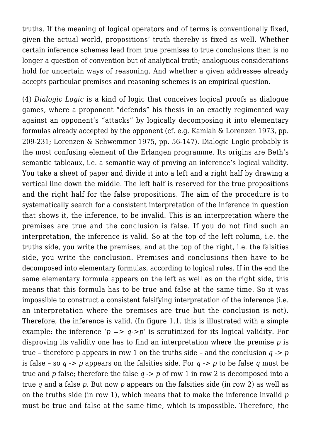truths. If the meaning of logical operators and of terms is conventionally fixed, given the actual world, propositions' truth thereby is fixed as well. Whether certain inference schemes lead from true premises to true conclusions then is no longer a question of convention but of analytical truth; analoguous considerations hold for uncertain ways of reasoning. And whether a given addressee already accepts particular premises and reasoning schemes is an empirical question.

(4) *Dialogic Logic* is a kind of logic that conceives logical proofs as dialogue games, where a proponent "defends" his thesis in an exactly regimented way against an opponent's "attacks" by logically decomposing it into elementary formulas already accepted by the opponent (cf. e.g. Kamlah & Lorenzen 1973, pp. 209-231; Lorenzen & Schwemmer 1975, pp. 56-147). Dialogic Logic probably is the most confusing element of the Erlangen programme. Its origins are Beth's semantic tableaux, i.e. a semantic way of proving an inference's logical validity. You take a sheet of paper and divide it into a left and a right half by drawing a vertical line down the middle. The left half is reserved for the true propositions and the right half for the false propositions. The aim of the procedure is to systematically search for a consistent interpretation of the inference in question that shows it, the inference, to be invalid. This is an interpretation where the premises are true and the conclusion is false. If you do not find such an interpretation, the inference is valid. So at the top of the left column, i.e. the truths side, you write the premises, and at the top of the right, i.e. the falsities side, you write the conclusion. Premises and conclusions then have to be decomposed into elementary formulas, according to logical rules. If in the end the same elementary formula appears on the left as well as on the right side, this means that this formula has to be true and false at the same time. So it was impossible to construct a consistent falsifying interpretation of the inference (i.e. an interpretation where the premises are true but the conclusion is not). Therefore, the inference is valid. (In figure 1.1. this is illustrated with a simple example: the inference ' $p \Rightarrow q \rightarrow p'$  is scrutinized for its logical validity. For disproving its validity one has to find an interpretation where the premise *p* is true – therefore p appears in row 1 on the truths side – and the conclusion *q -> p* is false – so *q -> p* appears on the falsities side. For *q -> p* to be false *q* must be true and *p* false; therefore the false *q -> p* of row 1 in row 2 is decomposed into a true *q* and a false *p*. But now *p* appears on the falsities side (in row 2) as well as on the truths side (in row 1), which means that to make the inference invalid *p* must be true and false at the same time, which is impossible. Therefore, the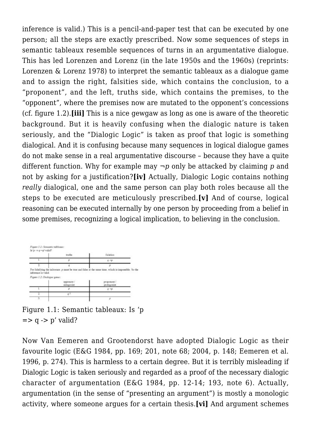inference is valid.) This is a pencil-and-paper test that can be executed by one person; all the steps are exactly prescribed. Now some sequences of steps in semantic tableaux resemble sequences of turns in an argumentative dialogue. This has led Lorenzen and Lorenz (in the late 1950s and the 1960s) (reprints: Lorenzen & Lorenz 1978) to interpret the semantic tableaux as a dialogue game and to assign the right, falsities side, which contains the conclusion, to a "proponent", and the left, truths side, which contains the premises, to the "opponent", where the premises now are mutated to the opponent's concessions (cf. figure 1.2).**[iii]** This is a nice gewgaw as long as one is aware of the theoretic background. But it is heavily confusing when the dialogic nature is taken seriously, and the "Dialogic Logic" is taken as proof that logic is something dialogical. And it is confusing because many sequences in logical dialogue games do not make sense in a real argumentative discourse – because they have a quite different function. Why for example may *¬p* only be attacked by claiming *p* and not by asking for a justification?**[iv]** Actually, Dialogic Logic contains nothing *really* dialogical, one and the same person can play both roles because all the steps to be executed are meticulously prescribed.**[v]** And of course, logical reasoning can be executed internally by one person by proceeding from a belief in some premises, recognizing a logical implication, to believing in the conclusion.



Figure 1.1: Semantic tableaux: Is 'p  $\Rightarrow$  q  $\Rightarrow$  p' valid?

Now Van Eemeren and Grootendorst have adopted Dialogic Logic as their favourite logic (E&G 1984, pp. 169; 201, note 68; 2004, p. 148; Eemeren et al. 1996, p. 274). This is harmless to a certain degree. But it is terribly misleading if Dialogic Logic is taken seriously and regarded as a proof of the necessary dialogic character of argumentation (E&G 1984, pp. 12-14; 193, note 6). Actually, argumentation (in the sense of "presenting an argument") is mostly a monologic activity, where someone argues for a certain thesis.**[vi]** And argument schemes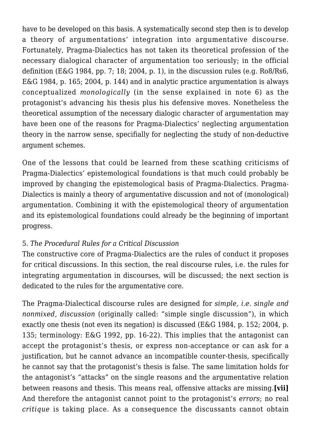have to be developed on this basis. A systematically second step then is to develop a theory of argumentations' integration into argumentative discourse. Fortunately, Pragma-Dialectics has not taken its theoretical profession of the necessary dialogical character of argumentation too seriously; in the official definition (E&G 1984, pp. 7: 18: 2004, p. 1), in the discussion rules (e.g. Ro8/Rs6, E&G 1984, p. 165; 2004, p. 144) and in analytic practice argumentation is always conceptualized *monologically* (in the sense explained in note 6) as the protagonist's advancing his thesis plus his defensive moves. Nonetheless the theoretical assumption of the necessary dialogic character of argumentation may have been one of the reasons for Pragma-Dialectics' neglecting argumentation theory in the narrow sense, specifially for neglecting the study of non-deductive argument schemes.

One of the lessons that could be learned from these scathing criticisms of Pragma-Dialectics' epistemological foundations is that much could probably be improved by changing the epistemological basis of Pragma-Dialectics. Pragma-Dialectics is mainly a theory of argumentative discussion and not of (monological) argumentation. Combining it with the epistemological theory of argumentation and its epistemological foundations could already be the beginning of important progress.

#### 5. *The Procedural Rules for a Critical Discussion*

The constructive core of Pragma-Dialectics are the rules of conduct it proposes for critical discussions. In this section, the real discourse rules, i.e. the rules for integrating argumentation in discourses, will be discussed; the next section is dedicated to the rules for the argumentative core.

The Pragma-Dialectical discourse rules are designed for *simple, i.e. single and nonmixed, discussion* (originally called: "simple single discussion"), in which exactly one thesis (not even its negation) is discussed (E&G 1984, p. 152; 2004, p. 135; terminology: E&G 1992, pp. 16-22). This implies that the antagonist can accept the protagonist's thesis, or express non-acceptance or can ask for a justification, but he cannot advance an incompatible counter-thesis, specifically he cannot say that the protagonist's thesis is false. The same limitation holds for the antagonist's "attacks" on the single reasons and the argumentative relation between reasons and thesis. This means real, offensive attacks are missing.**[vii]** And therefore the antagonist cannot point to the protagonist's *errors*; no real *critique* is taking place. As a consequence the discussants cannot obtain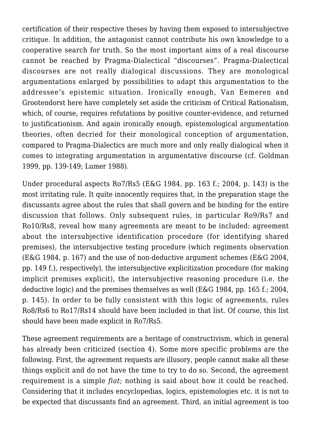certification of their respective theses by having them exposed to intersubjective critique. In addition, the antagonist cannot contribute his own knowledge to a cooperative search for truth. So the most important aims of a real discourse cannot be reached by Pragma-Dialectical "discourses". Pragma-Dialectical discourses are not really dialogical discussions. They are monological argumentations enlarged by possibilities to adapt this argumentation to the addressee's epistemic situation. Ironically enough, Van Eemeren and Grootendorst here have completely set aside the criticism of Critical Rationalism, which, of course, requires refutations by positive counter-evidence, and returned to justificationism. And again ironically enough, epistemological argumentation theories, often decried for their monological conception of argumentation, compared to Pragma-Dialectics are much more and only really dialogical when it comes to integrating argumentation in argumentative discourse (cf. Goldman 1999, pp. 139-149; Lumer 1988).

Under procedural aspects Ro7/Rs5 (E&G 1984, pp. 163 f.; 2004, p. 143) is the most irritating rule. It quite innocently requires that, in the preparation stage the discussants agree about the rules that shall govern and be binding for the entire discussion that follows. Only subsequent rules, in particular Ro9/Rs7 and Ro10/Rs8, reveal how many agreements are meant to be included: agreement about the intersubjective identification procedure (for identifying shared premises), the intersubjective testing procedure (which regiments observation (E&G 1984, p. 167) and the use of non-deductive argument schemes (E&G 2004, pp. 149 f.), respectively), the intersubjective explicitization procedure (for making implicit premises explicit), the intersubjective reasoning procedure (i.e. the deductive logic) and the premises themselves as well (E&G 1984, pp. 165 f.; 2004, p. 145). In order to be fully consistent with this logic of agreements, rules Ro8/Rs6 to Ro17/Rs14 should have been included in that list. Of course, this list should have been made explicit in Ro7/Rs5.

These agreement requirements are a heritage of constructivism, which in general has already been criticized (section 4). Some more specific problems are the following. First, the agreement requests are illusory, people cannot make all these things explicit and do not have the time to try to do so. Second, the agreement requirement is a simple *fiat*; nothing is said about how it could be reached. Considering that it includes encyclopedias, logics, epistemologies etc. it is not to be expected that discussants find an agreement. Third, an initial agreement is too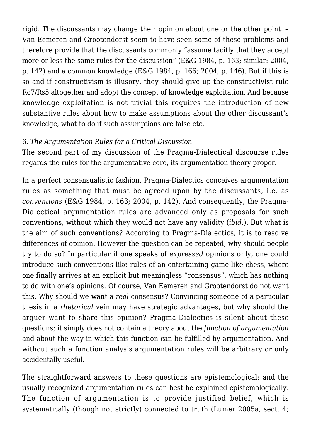rigid. The discussants may change their opinion about one or the other point. – Van Eemeren and Grootendorst seem to have seen some of these problems and therefore provide that the discussants commonly "assume tacitly that they accept more or less the same rules for the discussion" (E&G 1984, p. 163; similar: 2004, p. 142) and a common knowledge (E&G 1984, p. 166; 2004, p. 146). But if this is so and if constructivism is illusory, they should give up the constructivist rule Ro7/Rs5 altogether and adopt the concept of knowledge exploitation. And because knowledge exploitation is not trivial this requires the introduction of new substantive rules about how to make assumptions about the other discussant's knowledge, what to do if such assumptions are false etc.

#### 6. *The Argumentation Rules for a Critical Discussion*

The second part of my discussion of the Pragma-Dialectical discourse rules regards the rules for the argumentative core, its argumentation theory proper.

In a perfect consensualistic fashion, Pragma-Dialectics conceives argumentation rules as something that must be agreed upon by the discussants, i.e. as *conventions* (E&G 1984, p. 163; 2004, p. 142). And consequently, the Pragma-Dialectical argumentation rules are advanced only as proposals for such conventions, without which they would not have any validity (*ibid*.). But what is the aim of such conventions? According to Pragma-Dialectics, it is to resolve differences of opinion. However the question can be repeated, why should people try to do so? In particular if one speaks of *expressed* opinions only, one could introduce such conventions like rules of an entertaining game like chess, where one finally arrives at an explicit but meaningless "consensus", which has nothing to do with one's opinions. Of course, Van Eemeren and Grootendorst do not want this. Why should we want a *real* consensus? Convincing someone of a particular thesis in a *rhetorical* vein may have strategic advantages, but why should the arguer want to share this opinion? Pragma-Dialectics is silent about these questions; it simply does not contain a theory about the *function of argumentation* and about the way in which this function can be fulfilled by argumentation. And without such a function analysis argumentation rules will be arbitrary or only accidentally useful.

The straightforward answers to these questions are epistemological; and the usually recognized argumentation rules can best be explained epistemologically. The function of argumentation is to provide justified belief, which is systematically (though not strictly) connected to truth (Lumer 2005a, sect. 4;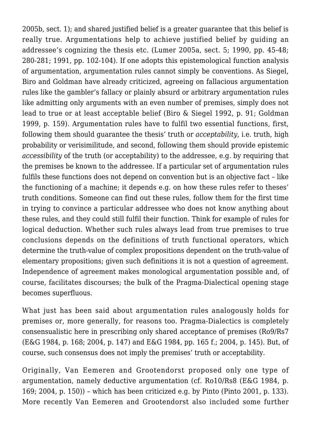2005b, sect. 1); and shared justified belief is a greater guarantee that this belief is really true. Argumentations help to achieve justified belief by guiding an addressee's cognizing the thesis etc. (Lumer 2005a, sect. 5; 1990, pp. 45-48; 280-281; 1991, pp. 102-104). If one adopts this epistemological function analysis of argumentation, argumentation rules cannot simply be conventions. As Siegel, Biro and Goldman have already criticized, agreeing on fallacious argumentation rules like the gambler's fallacy or plainly absurd or arbitrary argumentation rules like admitting only arguments with an even number of premises, simply does not lead to true or at least acceptable belief (Biro & Siegel 1992, p. 91; Goldman 1999, p. 159). Argumentation rules have to fulfil two essential functions, first, following them should guarantee the thesis' truth or *acceptability*, i.e. truth, high probability or verisimilitude, and second, following them should provide epistemic *accessibility* of the truth (or acceptability) to the addressee, e.g. by requiring that the premises be known to the addressee. If a particular set of argumentation rules fulfils these functions does not depend on convention but is an objective fact – like the functioning of a machine; it depends e.g. on how these rules refer to theses' truth conditions. Someone can find out these rules, follow them for the first time in trying to convince a particular addressee who does not know anything about these rules, and they could still fulfil their function. Think for example of rules for logical deduction. Whether such rules always lead from true premises to true conclusions depends on the definitions of truth functional operators, which determine the truth-value of complex propositions dependent on the truth-value of elementary propositions; given such definitions it is not a question of agreement. Independence of agreement makes monological argumentation possible and, of course, facilitates discourses; the bulk of the Pragma-Dialectical opening stage becomes superfluous.

What just has been said about argumentation rules analogously holds for premises or, more generally, for reasons too. Pragma-Dialectics is completely consensualistic here in prescribing only shared acceptance of premises (Ro9/Rs7 (E&G 1984, p. 168; 2004, p. 147) and E&G 1984, pp. 165 f.; 2004, p. 145). But, of course, such consensus does not imply the premises' truth or acceptability.

Originally, Van Eemeren and Grootendorst proposed only one type of argumentation, namely deductive argumentation (cf. Ro10/Rs8 (E&G 1984, p. 169; 2004, p. 150)) – which has been criticized e.g. by Pinto (Pinto 2001, p. 133). More recently Van Eemeren and Grootendorst also included some further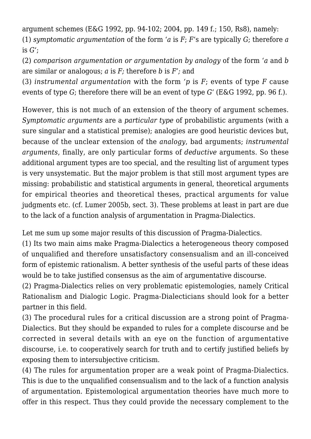argument schemes (E&G 1992, pp. 94-102; 2004, pp. 149 f.; 150, Rs8), namely: (1) *symptomatic argumentation* of the form '*a* is *F*; *F*'s are typically *G*; therefore *a* is *G*';

(2) *comparison argumentation or argumentation by analogy* of the form '*a* and *b* are similar or analogous; *a* is *F;* therefore *b* is *F';* and

(3) *instrumental argumentation* with the form *'p* is *F*; events of type *F* cause events of type *G*; therefore there will be an event of type *G*' (E&G 1992, pp. 96 f.).

However, this is not much of an extension of the theory of argument schemes. *Symptomatic arguments* are a *particular type* of probabilistic arguments (with a sure singular and a statistical premise); analogies are good heuristic devices but, because of the unclear extension of the *analogy*, bad arguments; *instrumental arguments*, finally, are only particular forms of *deductive* arguments. So these additional argument types are too special, and the resulting list of argument types is very unsystematic. But the major problem is that still most argument types are missing: probabilistic and statistical arguments in general, theoretical arguments for empirical theories and theoretical theses, practical arguments for value judgments etc. (cf. Lumer 2005b, sect. 3). These problems at least in part are due to the lack of a function analysis of argumentation in Pragma-Dialectics.

Let me sum up some major results of this discussion of Pragma-Dialectics.

(1) Its two main aims make Pragma-Dialectics a heterogeneous theory composed of unqualified and therefore unsatisfactory consensualism and an ill-conceived form of epistemic rationalism. A better synthesis of the useful parts of these ideas would be to take justified consensus as the aim of argumentative discourse.

(2) Pragma-Dialectics relies on very problematic epistemologies, namely Critical Rationalism and Dialogic Logic. Pragma-Dialecticians should look for a better partner in this field.

(3) The procedural rules for a critical discussion are a strong point of Pragma-Dialectics. But they should be expanded to rules for a complete discourse and be corrected in several details with an eye on the function of argumentative discourse, i.e. to cooperatively search for truth and to certify justified beliefs by exposing them to intersubjective criticism.

(4) The rules for argumentation proper are a weak point of Pragma-Dialectics. This is due to the unqualified consensualism and to the lack of a function analysis of argumentation. Epistemological argumentation theories have much more to offer in this respect. Thus they could provide the necessary complement to the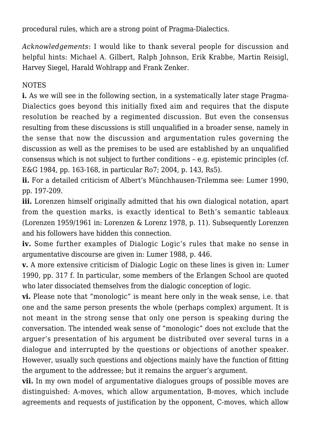procedural rules, which are a strong point of Pragma-Dialectics.

*Acknowledgements*: I would like to thank several people for discussion and helpful hints: Michael A. Gilbert, Ralph Johnson, Erik Krabbe, Martin Reisigl, Harvey Siegel, Harald Wohlrapp and Frank Zenker.

#### NOTES

**i.** As we will see in the following section, in a systematically later stage Pragma-Dialectics goes beyond this initially fixed aim and requires that the dispute resolution be reached by a regimented discussion. But even the consensus resulting from these discussions is still unqualified in a broader sense, namely in the sense that now the discussion and argumentation rules governing the discussion as well as the premises to be used are established by an unqualified consensus which is not subject to further conditions – e.g. epistemic principles (cf. E&G 1984, pp. 163-168, in particular Ro7; 2004, p. 143, Rs5).

**ii.** For a detailed criticism of Albert's Münchhausen-Trilemma see: Lumer 1990, pp. 197-209.

**iii.** Lorenzen himself originally admitted that his own dialogical notation, apart from the question marks, is exactly identical to Beth's semantic tableaux (Lorenzen 1959/1961 in: Lorenzen & Lorenz 1978, p. 11). Subsequently Lorenzen and his followers have hidden this connection.

**iv.** Some further examples of Dialogic Logic's rules that make no sense in argumentative discourse are given in: Lumer 1988, p. 446.

**v.** A more extensive criticism of Dialogic Logic on these lines is given in: Lumer 1990, pp. 317 f. In particular, some members of the Erlangen School are quoted who later dissociated themselves from the dialogic conception of logic.

**vi.** Please note that "monologic" is meant here only in the weak sense, i.e. that one and the same person presents the whole (perhaps complex) argument. It is not meant in the strong sense that only one person is speaking during the conversation. The intended weak sense of "monologic" does not exclude that the arguer's presentation of his argument be distributed over several turns in a dialogue and interrupted by the questions or objections of another speaker. However, usually such questions and objections mainly have the function of fitting the argument to the addressee; but it remains the arguer's argument.

**vii.** In my own model of argumentative dialogues groups of possible moves are distinguished: A-moves, which allow argumentation, B-moves, which include agreements and requests of justification by the opponent, C-moves, which allow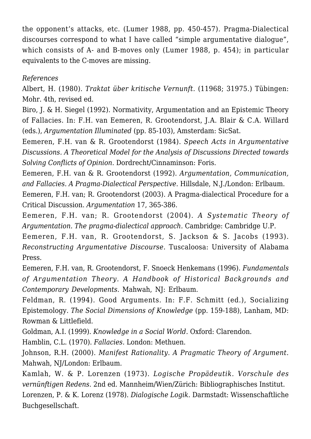the opponent's attacks, etc. (Lumer 1988, pp. 450-457). Pragma-Dialectical discourses correspond to what I have called "simple argumentative dialogue", which consists of A- and B-moves only (Lumer 1988, p. 454); in particular equivalents to the C-moves are missing.

### *References*

Albert, H. (1980). *Traktat über kritische Vernunft.* (11968; 31975.) Tübingen: Mohr. 4th, revised ed.

Biro, J. & H. Siegel (1992). Normativity, Argumentation and an Epistemic Theory of Fallacies. In: F.H. van Eemeren, R. Grootendorst, J.A. Blair & C.A. Willard (eds.), *Argumentation Illuminated* (pp. 85-103), Amsterdam: SicSat.

Eemeren, F.H. van & R. Grootendorst (1984). *Speech Acts in Argumentative Discussions. A Theoretical Model for the Analysis of Discussions Directed towards Solving Conflicts of Opinion*. Dordrecht/Cinnaminson: Foris.

Eemeren, F.H. van & R. Grootendorst (1992). *Argumentation, Communication, and Fallacies. A Pragma-Dialectical Perspective*. Hillsdale, N.J./London: Erlbaum.

Eemeren, F.H. van; R. Grootendorst (2003). A Pragma-dialectical Procedure for a Critical Discussion. *Argumentation* 17, 365-386.

Eemeren, F.H. van; R. Grootendorst (2004). *A Systematic Theory of Argumentation. The pragma-dialectical approach.* Cambridge: Cambridge U.P.

Eemeren, F.H. van, R. Grootendorst, S. Jackson & S. Jacobs (1993). *Reconstructing Argumentative Discourse.* Tuscaloosa: University of Alabama Press.

Eemeren, F.H. van, R. Grootendorst, F. Snoeck Henkemans (1996). *Fundamentals of Argumentation Theory. A Handbook of Historical Backgrounds and Contemporary Developments*. Mahwah, NJ: Erlbaum.

Feldman, R. (1994). Good Arguments. In: F.F. Schmitt (ed.), Socializing Epistemology. *The Social Dimensions of Knowledge* (pp. 159-188), Lanham, MD: Rowman & Littlefield.

Goldman, A.I. (1999). *Knowledge in a Social World.* Oxford: Clarendon.

Hamblin, C.L. (1970). *Fallacies.* London: Methuen.

Johnson, R.H. (2000). *Manifest Rationality. A Pragmatic Theory of Argument.* Mahwah, NJ/London: Erlbaum.

Kamlah, W. & P. Lorenzen (1973). *Logische Propädeutik. Vorschule des vernünftigen Redens.* 2nd ed. Mannheim/Wien/Zürich: Bibliographisches Institut. Lorenzen, P. & K. Lorenz (1978). *Dialogische Logik.* Darmstadt: Wissenschaftliche

Buchgesellschaft.